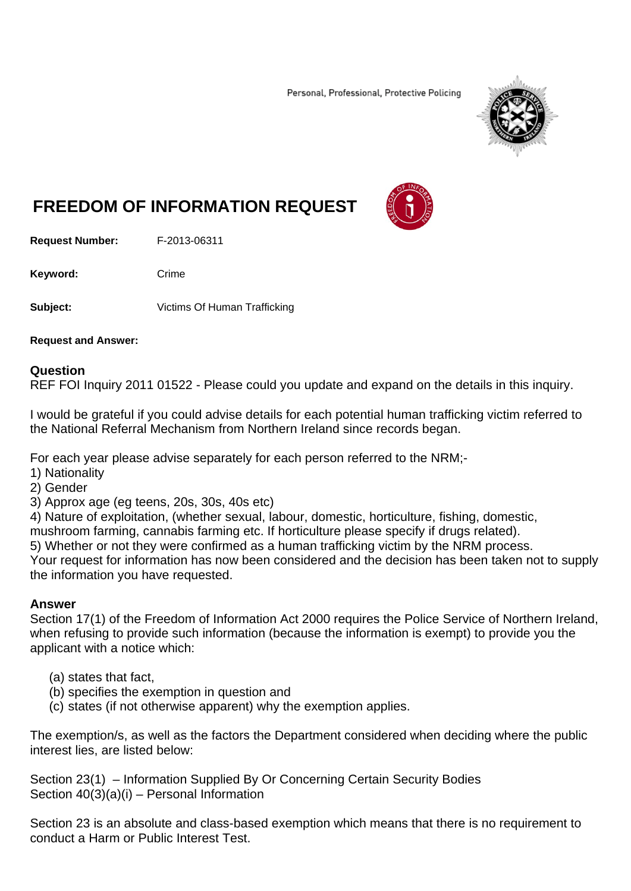Personal, Professional, Protective Policing



## **FREEDOM OF INFORMATION REQUEST**

**Request Number:** F-2013-06311

Keyword: Crime

**Subject:** Victims Of Human Trafficking

**Request and Answer:** 

## **Question**

REF FOI Inquiry 2011 01522 - Please could you update and expand on the details in this inquiry.

I would be grateful if you could advise details for each potential human trafficking victim referred to the National Referral Mechanism from Northern Ireland since records began.

For each year please advise separately for each person referred to the NRM;-

- 1) Nationality
- 2) Gender
- 3) Approx age (eg teens, 20s, 30s, 40s etc)

4) Nature of exploitation, (whether sexual, labour, domestic, horticulture, fishing, domestic,

mushroom farming, cannabis farming etc. If horticulture please specify if drugs related).

5) Whether or not they were confirmed as a human trafficking victim by the NRM process.

Your request for information has now been considered and the decision has been taken not to supply the information you have requested.

## **Answer**

Section 17(1) of the Freedom of Information Act 2000 requires the Police Service of Northern Ireland, when refusing to provide such information (because the information is exempt) to provide you the applicant with a notice which:

- (a) states that fact,
- (b) specifies the exemption in question and
- (c) states (if not otherwise apparent) why the exemption applies.

The exemption/s, as well as the factors the Department considered when deciding where the public interest lies, are listed below:

Section 23(1) – Information Supplied By Or Concerning Certain Security Bodies Section  $40(3)(a)(i)$  – Personal Information

Section 23 is an absolute and class-based exemption which means that there is no requirement to conduct a Harm or Public Interest Test.